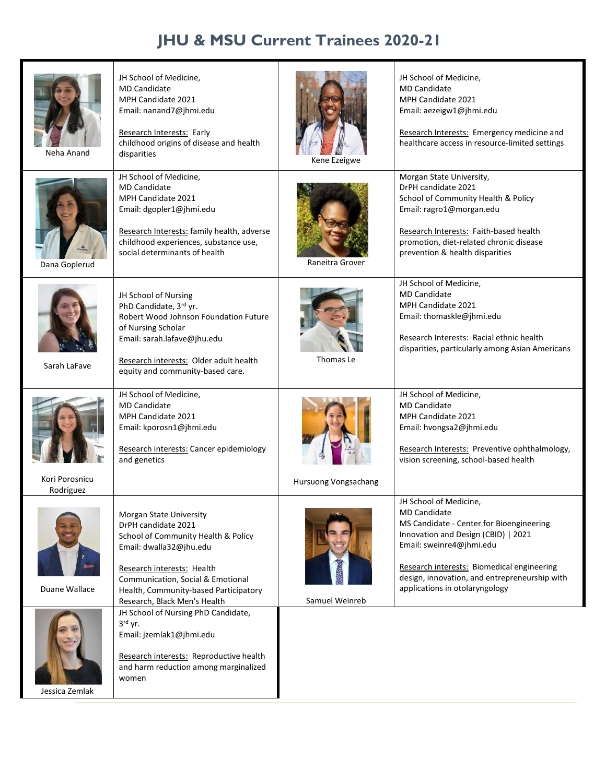## **JHU & MSU Current Trainees 2020-21**

| Neha Anand                 | JH School of Medicine,<br><b>MD Candidate</b><br>MPH Candidate 2021<br>Email: nanand7@jhmi.edu<br>Research Interests: Early<br>childhood origins of disease and health<br>disparities                                                                        | Kene Ezeigwe         | JH School of Medicine,<br><b>MD Candidate</b><br>MPH Candidate 2021<br>Email: aezeigw1@jhmi.edu<br>Research Interests: Emergency medicine and<br>healthcare access in resource-limited settings                                                                                               |
|----------------------------|--------------------------------------------------------------------------------------------------------------------------------------------------------------------------------------------------------------------------------------------------------------|----------------------|-----------------------------------------------------------------------------------------------------------------------------------------------------------------------------------------------------------------------------------------------------------------------------------------------|
| Dana Goplerud              | JH School of Medicine,<br><b>MD Candidate</b><br>MPH Candidate 2021<br>Email: dgopler1@jhmi.edu<br>Research Interests: family health, adverse<br>childhood experiences, substance use,<br>social determinants of health                                      | Raneitra Grover      | Morgan State University,<br>DrPH candidate 2021<br>School of Community Health & Policy<br>Email: ragro1@morgan.edu<br>Research Interests: Faith-based health<br>promotion, diet-related chronic disease<br>prevention & health disparities                                                    |
| Sarah LaFave               | JH School of Nursing<br>PhD Candidate, 3rd yr.<br>Robert Wood Johnson Foundation Future<br>of Nursing Scholar<br>Email: sarah.lafave@jhu.edu<br>Research interests: Older adult health<br>equity and community-based care.                                   | Thomas Le            | JH School of Medicine,<br><b>MD Candidate</b><br>MPH Candidate 2021<br>Email: thomaskle@jhmi.edu<br>Research Interests: Racial ethnic health<br>disparities, particularly among Asian Americans                                                                                               |
| Kori Porosnicu             | JH School of Medicine,<br><b>MD Candidate</b><br>MPH Candidate 2021<br>Email: kporosn1@jhmi.edu<br>Research interests: Cancer epidemiology<br>and genetics                                                                                                   | Hursuong Vongsachang | JH School of Medicine,<br><b>MD Candidate</b><br>MPH Candidate 2021<br>Email: hvongsa2@jhmi.edu<br>Research Interests: Preventive ophthalmology,<br>vision screening, school-based health                                                                                                     |
| Rodriguez<br>Duane Wallace | Morgan State University<br>DrPH candidate 2021<br>School of Community Health & Policy<br>Email: dwalla32@jhu.edu<br>Research interests: Health<br>Communication, Social & Emotional<br>Health, Community-based Participatory<br>Research, Black Men's Health | Samuel Weinreb       | JH School of Medicine,<br><b>MD Candidate</b><br>MS Candidate - Center for Bioengineering<br>Innovation and Design (CBID)   2021<br>Email: sweinre4@jhmi.edu<br>Research interests: Biomedical engineering<br>design, innovation, and entrepreneurship with<br>applications in otolaryngology |
| Jessica Zemlak             | JH School of Nursing PhD Candidate,<br>$3rd$ yr.<br>Email: jzemlak1@jhmi.edu<br>Research interests: Reproductive health<br>and harm reduction among marginalized<br>women                                                                                    |                      |                                                                                                                                                                                                                                                                                               |